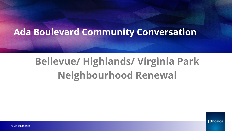# **Ada Boulevard Community Conversation**

# **Bellevue/ Highlands/ Virginia Park Neighbourhood Renewal**

*<u>Edmonton</u>*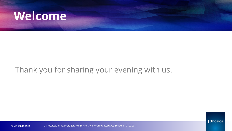# **Welcome**

### Thank you for sharing your evening with us.



© City of Edmonton 2 | Integrated Infrastructure Services| Building Great Neighbourhoods| Ada Boulevard | 01.22.2018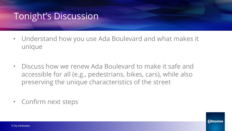# Tonight's Discussion

- Understand how you use Ada Boulevard and what makes it unique
- Discuss how we renew Ada Boulevard to make it safe and accessible for all (e.g., pedestrians, bikes, cars), while also preserving the unique characteristics of the street
- Confirm next steps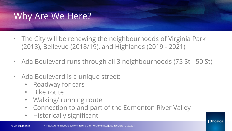# Why Are We Here?

- The City will be renewing the neighbourhoods of Virginia Park (2018), Bellevue (2018/19), and Highlands (2019 - 2021)
- Ada Boulevard runs through all 3 neighbourhoods (75 St 50 St)
- Ada Boulevard is a unique street:
	- Roadway for cars
	- Bike route
	- Walking/ running route
	- Connection to and part of the Edmonton River Valley

**Edmonton** 

• Historically significant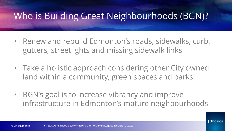# Who is Building Great Neighbourhoods (BGN)?

- Renew and rebuild Edmonton's roads, sidewalks, curb, gutters, streetlights and missing sidewalk links
- Take a holistic approach considering other City owned land within a community, green spaces and parks
- BGN's goal is to increase vibrancy and improve infrastructure in Edmonton's mature neighbourhoods

Fdmonton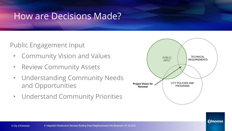### How are Decisions Made?

#### Public Engagement Input

- Community Vision and Values
- Review Community Assets
- Understanding Community Needs and Opportunities
- Understand Community Priorities



**Fdmonton**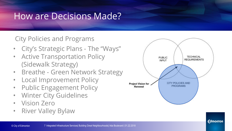## How are Decisions Made?

#### City Policies and Programs

- City's Strategic Plans The "Ways"
- Active Transportation Policy (Sidewalk Strategy)
- Breathe Green Network Strategy
- Local Improvement Policy
- Public Engagement Policy
- Winter City Guidelines
- Vision Zero
- River Valley Bylaw



**Edmonton**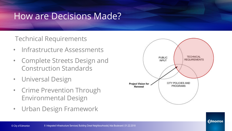### How are Decisions Made?

#### Technical Requirements

- Infrastructure Assessments
- Complete Streets Design and Construction Standards
- Universal Design
- Crime Prevention Through Environmental Design
- Urban Design Framework

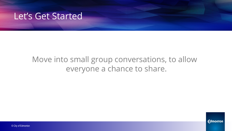

### Move into small group conversations, to allow everyone a chance to share.



© City of Edmonton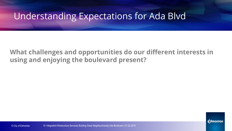## Understanding Expectations for Ada Blvd

**What challenges and opportunities do our different interests in using and enjoying the boulevard present?**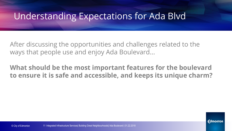## Understanding Expectations for Ada Blvd

After discussing the opportunities and challenges related to the ways that people use and enjoy Ada Boulevard...

#### **What should be the most important features for the boulevard to ensure it is safe and accessible, and keeps its unique charm?**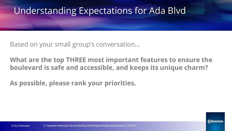# Understanding Expectations for Ada Blvd

Based on your small group's conversation...

**What are the top THREE most important features to ensure the boulevard is safe and accessible, and keeps its unique charm?**

**As possible, please rank your priorities.**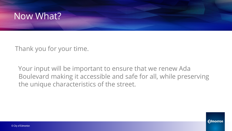

Thank you for your time.

 Your input will be important to ensure that we renew Ada Boulevard making it accessible and safe for all, while preserving the unique characteristics of the street.

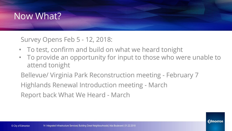# Now What?

Survey Opens Feb 5 - 12, 2018:

- To test, confirm and build on what we heard tonight
- To provide an opportunity for input to those who were unable to attend tonight

Bellevue/ Virginia Park Reconstruction meeting - February 7

Highlands Renewal Introduction meeting - March

Report back What We Heard - March